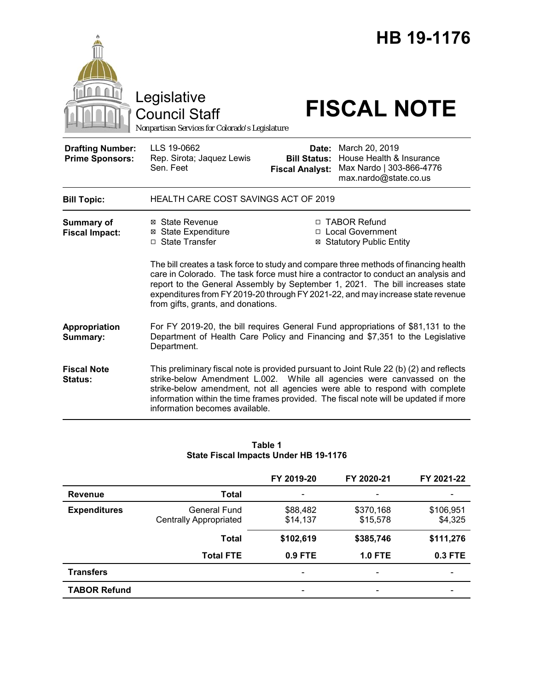|                                                   | Legislative<br><b>Council Staff</b><br>Nonpartisan Services for Colorado's Legislature                                                                                           |                                                                                                                                                                                                                                                                                                                                                | HB 19-1176<br><b>FISCAL NOTE</b>                                                                                                                                                                                                                                                                                                         |  |  |
|---------------------------------------------------|----------------------------------------------------------------------------------------------------------------------------------------------------------------------------------|------------------------------------------------------------------------------------------------------------------------------------------------------------------------------------------------------------------------------------------------------------------------------------------------------------------------------------------------|------------------------------------------------------------------------------------------------------------------------------------------------------------------------------------------------------------------------------------------------------------------------------------------------------------------------------------------|--|--|
| <b>Drafting Number:</b><br><b>Prime Sponsors:</b> | LLS 19-0662<br>Rep. Sirota; Jaquez Lewis<br>Sen. Feet                                                                                                                            | Date:<br><b>Bill Status:</b><br><b>Fiscal Analyst:</b>                                                                                                                                                                                                                                                                                         | March 20, 2019<br>House Health & Insurance<br>Max Nardo   303-866-4776<br>max.nardo@state.co.us                                                                                                                                                                                                                                          |  |  |
| <b>Bill Topic:</b>                                | <b>HEALTH CARE COST SAVINGS ACT OF 2019</b>                                                                                                                                      |                                                                                                                                                                                                                                                                                                                                                |                                                                                                                                                                                                                                                                                                                                          |  |  |
| Summary of<br><b>Fiscal Impact:</b>               | ⊠ State Revenue<br><b>⊠</b> State Expenditure<br>□ State Transfer                                                                                                                |                                                                                                                                                                                                                                                                                                                                                | □ TABOR Refund<br>□ Local Government<br><b>⊠ Statutory Public Entity</b>                                                                                                                                                                                                                                                                 |  |  |
|                                                   | from gifts, grants, and donations.                                                                                                                                               | The bill creates a task force to study and compare three methods of financing health<br>care in Colorado. The task force must hire a contractor to conduct an analysis and<br>report to the General Assembly by September 1, 2021. The bill increases state<br>expenditures from FY 2019-20 through FY 2021-22, and may increase state revenue |                                                                                                                                                                                                                                                                                                                                          |  |  |
| Appropriation<br>Summary:                         | For FY 2019-20, the bill requires General Fund appropriations of \$81,131 to the<br>Department of Health Care Policy and Financing and \$7,351 to the Legislative<br>Department. |                                                                                                                                                                                                                                                                                                                                                |                                                                                                                                                                                                                                                                                                                                          |  |  |
| <b>Fiscal Note</b><br>Status:                     | information becomes available.                                                                                                                                                   |                                                                                                                                                                                                                                                                                                                                                | This preliminary fiscal note is provided pursuant to Joint Rule 22 (b) (2) and reflects<br>strike-below Amendment L.002. While all agencies were canvassed on the<br>strike-below amendment, not all agencies were able to respond with complete<br>information within the time frames provided. The fiscal note will be updated if more |  |  |

### **Table 1 State Fiscal Impacts Under HB 19-1176**

|                     |                                               | FY 2019-20           | FY 2020-21               | FY 2021-22           |
|---------------------|-----------------------------------------------|----------------------|--------------------------|----------------------|
| <b>Revenue</b>      | Total                                         |                      | ٠                        |                      |
| <b>Expenditures</b> | <b>General Fund</b><br>Centrally Appropriated | \$88,482<br>\$14,137 | \$370,168<br>\$15,578    | \$106,951<br>\$4,325 |
|                     | <b>Total</b>                                  | \$102,619            | \$385,746                | \$111,276            |
|                     | <b>Total FTE</b>                              | 0.9 FTE              | <b>1.0 FTE</b>           | 0.3 FTE              |
| <b>Transfers</b>    |                                               |                      | $\overline{\phantom{0}}$ |                      |
| <b>TABOR Refund</b> |                                               |                      |                          |                      |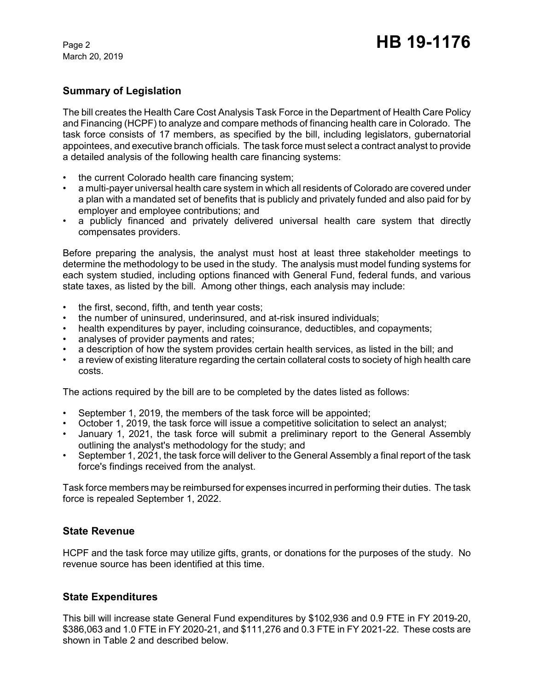March 20, 2019

# **Summary of Legislation**

The bill creates the Health Care Cost Analysis Task Force in the Department of Health Care Policy and Financing (HCPF) to analyze and compare methods of financing health care in Colorado. The task force consists of 17 members, as specified by the bill, including legislators, gubernatorial appointees, and executive branch officials. The task force must select a contract analyst to provide a detailed analysis of the following health care financing systems:

- the current Colorado health care financing system;
- a multi-payer universal health care system in which all residents of Colorado are covered under a plan with a mandated set of benefits that is publicly and privately funded and also paid for by employer and employee contributions; and
- a publicly financed and privately delivered universal health care system that directly compensates providers.

Before preparing the analysis, the analyst must host at least three stakeholder meetings to determine the methodology to be used in the study. The analysis must model funding systems for each system studied, including options financed with General Fund, federal funds, and various state taxes, as listed by the bill. Among other things, each analysis may include:

- the first, second, fifth, and tenth year costs;
- the number of uninsured, underinsured, and at-risk insured individuals;
- health expenditures by payer, including coinsurance, deductibles, and copayments;
- analyses of provider payments and rates;
- a description of how the system provides certain health services, as listed in the bill; and
- a review of existing literature regarding the certain collateral costs to society of high health care costs.

The actions required by the bill are to be completed by the dates listed as follows:

- September 1, 2019, the members of the task force will be appointed;
- October 1, 2019, the task force will issue a competitive solicitation to select an analyst;
- January 1, 2021, the task force will submit a preliminary report to the General Assembly outlining the analyst's methodology for the study; and
- September 1, 2021, the task force will deliver to the General Assembly a final report of the task force's findings received from the analyst.

Task force members may be reimbursed for expenses incurred in performing their duties. The task force is repealed September 1, 2022.

# **State Revenue**

HCPF and the task force may utilize gifts, grants, or donations for the purposes of the study. No revenue source has been identified at this time.

# **State Expenditures**

This bill will increase state General Fund expenditures by \$102,936 and 0.9 FTE in FY 2019-20, \$386,063 and 1.0 FTE in FY 2020-21, and \$111,276 and 0.3 FTE in FY 2021-22. These costs are shown in Table 2 and described below.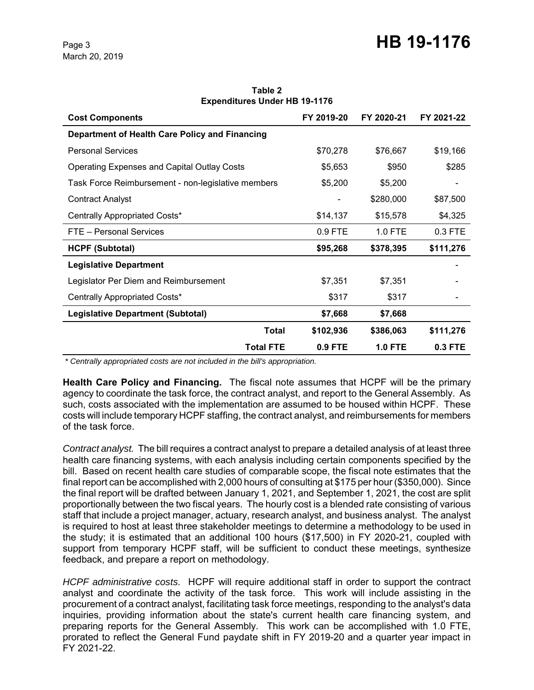**Table 2 Expenditures Under HB 19-1176**

| <b>Cost Components</b>                             | FY 2019-20 | FY 2020-21     | FY 2021-22 |
|----------------------------------------------------|------------|----------------|------------|
| Department of Health Care Policy and Financing     |            |                |            |
| <b>Personal Services</b>                           | \$70,278   | \$76,667       | \$19,166   |
| <b>Operating Expenses and Capital Outlay Costs</b> | \$5,653    | \$950          | \$285      |
| Task Force Reimbursement - non-legislative members | \$5,200    | \$5,200        |            |
| <b>Contract Analyst</b>                            |            | \$280,000      | \$87,500   |
| Centrally Appropriated Costs*                      | \$14,137   | \$15,578       | \$4,325    |
| FTE - Personal Services                            | $0.9$ FTE  | 1.0 FTE        | $0.3$ FTE  |
| <b>HCPF (Subtotal)</b>                             | \$95,268   | \$378,395      | \$111,276  |
| <b>Legislative Department</b>                      |            |                |            |
| Legislator Per Diem and Reimbursement              | \$7,351    | \$7,351        |            |
| Centrally Appropriated Costs*                      | \$317      | \$317          |            |
| <b>Legislative Department (Subtotal)</b>           | \$7,668    | \$7,668        |            |
| <b>Total</b>                                       | \$102,936  | \$386,063      | \$111,276  |
| <b>Total FTE</b>                                   | 0.9 FTE    | <b>1.0 FTE</b> | 0.3 FTE    |

 *\* Centrally appropriated costs are not included in the bill's appropriation.*

**Health Care Policy and Financing.** The fiscal note assumes that HCPF will be the primary agency to coordinate the task force, the contract analyst, and report to the General Assembly. As such, costs associated with the implementation are assumed to be housed within HCPF. These costs will include temporary HCPF staffing, the contract analyst, and reimbursements for members of the task force.

*Contract analyst.* The bill requires a contract analyst to prepare a detailed analysis of at least three health care financing systems, with each analysis including certain components specified by the bill. Based on recent health care studies of comparable scope, the fiscal note estimates that the final report can be accomplished with 2,000 hours of consulting at \$175 per hour (\$350,000). Since the final report will be drafted between January 1, 2021, and September 1, 2021, the cost are split proportionally between the two fiscal years. The hourly cost is a blended rate consisting of various staff that include a project manager, actuary, research analyst, and business analyst. The analyst is required to host at least three stakeholder meetings to determine a methodology to be used in the study; it is estimated that an additional 100 hours (\$17,500) in FY 2020-21, coupled with support from temporary HCPF staff, will be sufficient to conduct these meetings, synthesize feedback, and prepare a report on methodology.

*HCPF administrative costs.* HCPF will require additional staff in order to support the contract analyst and coordinate the activity of the task force. This work will include assisting in the procurement of a contract analyst, facilitating task force meetings, responding to the analyst's data inquiries, providing information about the state's current health care financing system, and preparing reports for the General Assembly. This work can be accomplished with 1.0 FTE, prorated to reflect the General Fund paydate shift in FY 2019-20 and a quarter year impact in FY 2021-22.